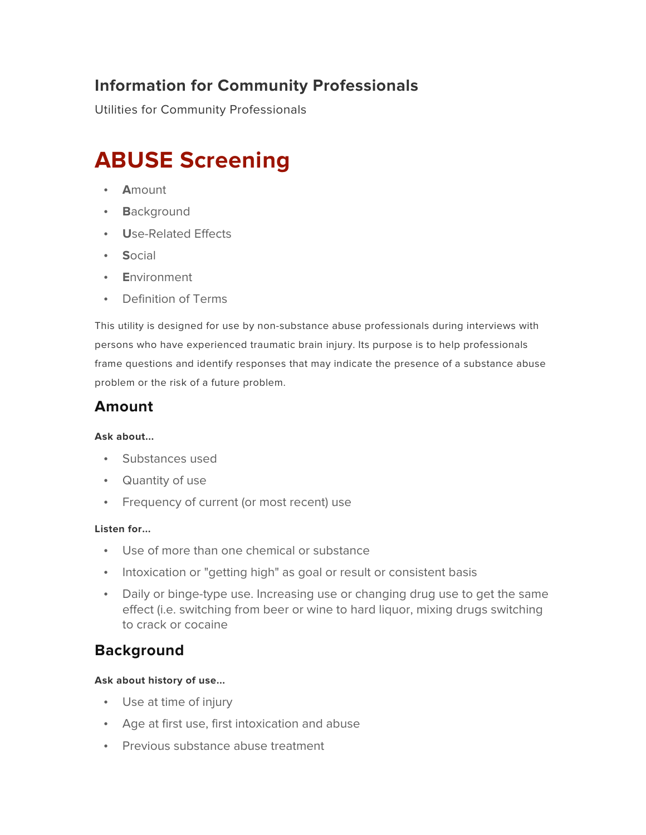## **Information for Community Professionals**

Utilities for Community Professionals

# **ABUSE Screening**

- **A**mount
- **B**ackground
- **U**se-Related Effects
- **S**ocial
- **E**nvironment
- Definition of Terms

This utility is designed for use by non-substance abuse professionals during interviews with persons who have experienced traumatic brain injury. Its purpose is to help professionals frame questions and identify responses that may indicate the presence of a substance abuse problem or the risk of a future problem.

### **Amount**

### **Ask about...**

- Substances used
- Quantity of use
- Frequency of current (or most recent) use

### **Listen for...**

- Use of more than one chemical or substance
- Intoxication or "getting high" as goal or result or consistent basis
- Daily or binge-type use. Increasing use or changing drug use to get the same effect (i.e. switching from beer or wine to hard liquor, mixing drugs switching to crack or cocaine

### **Background**

### **Ask about history of use...**

- Use at time of injury
- Age at first use, first intoxication and abuse
- Previous substance abuse treatment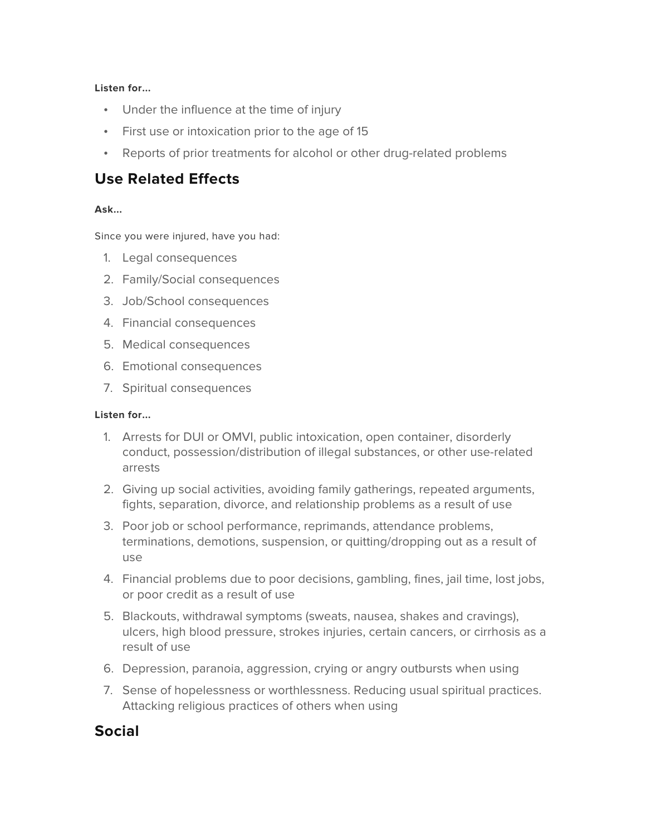### **Listen for...**

- Under the influence at the time of injury
- First use or intoxication prior to the age of 15
- Reports of prior treatments for alcohol or other drug-related problems

### **Use Related Effects**

### **Ask...**

Since you were injured, have you had:

- 1. Legal consequences
- 2. Family/Social consequences
- 3. Job/School consequences
- 4. Financial consequences
- 5. Medical consequences
- 6. Emotional consequences
- 7. Spiritual consequences

#### **Listen for...**

- 1. Arrests for DUI or OMVI, public intoxication, open container, disorderly conduct, possession/distribution of illegal substances, or other use-related arrests
- 2. Giving up social activities, avoiding family gatherings, repeated arguments, fights, separation, divorce, and relationship problems as a result of use
- 3. Poor job or school performance, reprimands, attendance problems, terminations, demotions, suspension, or quitting/dropping out as a result of use
- 4. Financial problems due to poor decisions, gambling, fines, jail time, lost jobs, or poor credit as a result of use
- 5. Blackouts, withdrawal symptoms (sweats, nausea, shakes and cravings), ulcers, high blood pressure, strokes injuries, certain cancers, or cirrhosis as a result of use
- 6. Depression, paranoia, aggression, crying or angry outbursts when using
- 7. Sense of hopelessness or worthlessness. Reducing usual spiritual practices. Attacking religious practices of others when using

### **Social**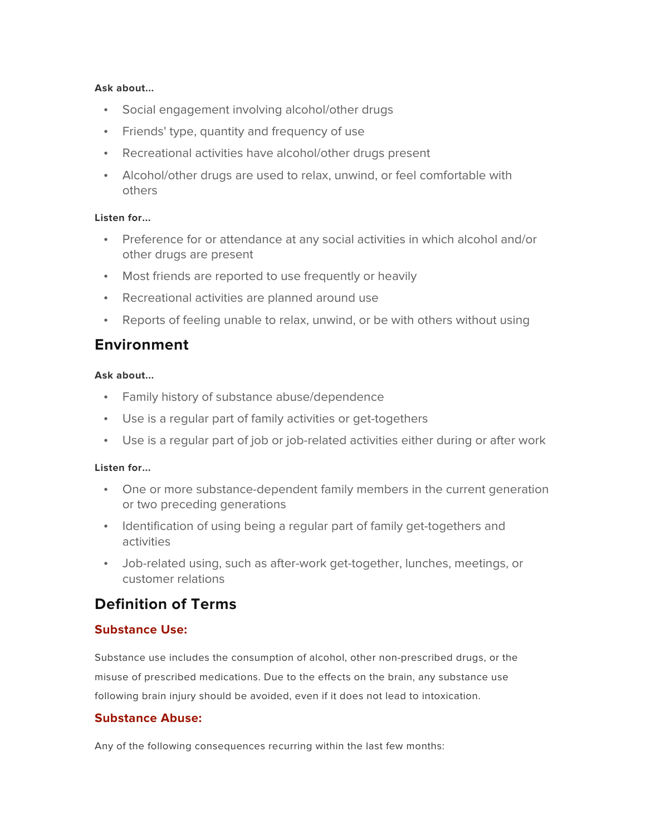#### **Ask about...**

- Social engagement involving alcohol/other drugs
- Friends' type, quantity and frequency of use
- Recreational activities have alcohol/other drugs present
- Alcohol/other drugs are used to relax, unwind, or feel comfortable with others

#### **Listen for...**

- Preference for or attendance at any social activities in which alcohol and/or other drugs are present
- Most friends are reported to use frequently or heavily
- Recreational activities are planned around use
- Reports of feeling unable to relax, unwind, or be with others without using

### **Environment**

#### **Ask about...**

- Family history of substance abuse/dependence
- Use is a regular part of family activities or get-togethers
- Use is a regular part of job or job-related activities either during or after work

#### **Listen for...**

- One or more substance-dependent family members in the current generation or two preceding generations
- Identification of using being a regular part of family get-togethers and activities
- Job-related using, such as after-work get-together, lunches, meetings, or customer relations

### **Definition of Terms**

### **Substance Use:**

Substance use includes the consumption of alcohol, other non-prescribed drugs, or the misuse of prescribed medications. Due to the effects on the brain, any substance use following brain injury should be avoided, even if it does not lead to intoxication.

### **Substance Abuse:**

Any of the following consequences recurring within the last few months: